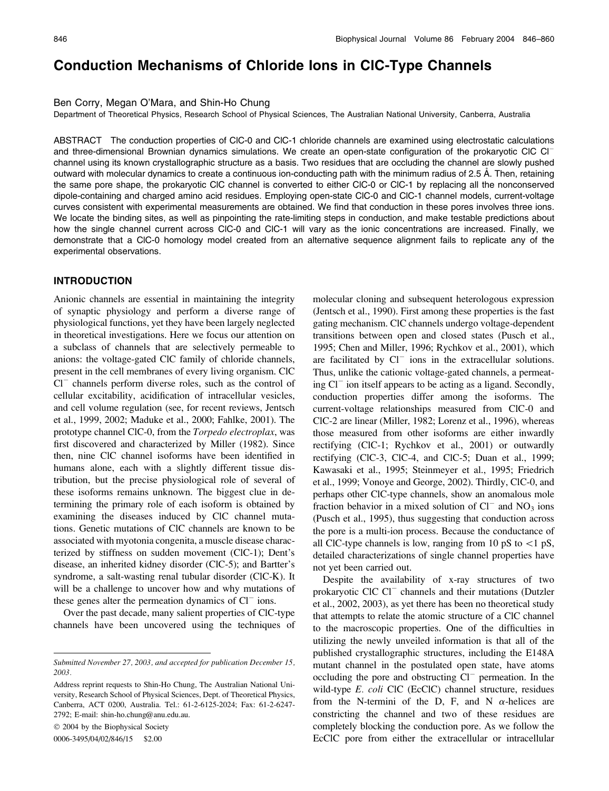# Conduction Mechanisms of Chloride Ions in ClC-Type Channels

### Ben Corry, Megan O'Mara, and Shin-Ho Chung

Department of Theoretical Physics, Research School of Physical Sciences, The Australian National University, Canberra, Australia

ABSTRACT The conduction properties of ClC-0 and ClC-1 chloride channels are examined using electrostatic calculations and three-dimensional Brownian dynamics simulations. We create an open-state configuration of the prokaryotic ClC Cl channel using its known crystallographic structure as a basis. Two residues that are occluding the channel are slowly pushed outward with molecular dynamics to create a continuous ion-conducting path with the minimum radius of 2.5 A˚ . Then, retaining the same pore shape, the prokaryotic ClC channel is converted to either ClC-0 or ClC-1 by replacing all the nonconserved dipole-containing and charged amino acid residues. Employing open-state ClC-0 and ClC-1 channel models, current-voltage curves consistent with experimental measurements are obtained. We find that conduction in these pores involves three ions. We locate the binding sites, as well as pinpointing the rate-limiting steps in conduction, and make testable predictions about how the single channel current across ClC-0 and ClC-1 will vary as the ionic concentrations are increased. Finally, we demonstrate that a ClC-0 homology model created from an alternative sequence alignment fails to replicate any of the experimental observations.

### INTRODUCTION

Anionic channels are essential in maintaining the integrity of synaptic physiology and perform a diverse range of physiological functions, yet they have been largely neglected in theoretical investigations. Here we focus our attention on a subclass of channels that are selectively permeable to anions: the voltage-gated ClC family of chloride channels, present in the cell membranes of every living organism. ClC  $Cl^-$  channels perform diverse roles, such as the control of cellular excitability, acidification of intracellular vesicles, and cell volume regulation (see, for recent reviews, Jentsch et al., 1999, 2002; Maduke et al., 2000; Fahlke, 2001). The prototype channel ClC-0, from the Torpedo electroplax, was first discovered and characterized by Miller (1982). Since then, nine ClC channel isoforms have been identified in humans alone, each with a slightly different tissue distribution, but the precise physiological role of several of these isoforms remains unknown. The biggest clue in determining the primary role of each isoform is obtained by examining the diseases induced by ClC channel mutations. Genetic mutations of ClC channels are known to be associated with myotonia congenita, a muscle disease characterized by stiffness on sudden movement (ClC-1); Dent's disease, an inherited kidney disorder (ClC-5); and Bartter's syndrome, a salt-wasting renal tubular disorder (ClC-K). It will be a challenge to uncover how and why mutations of these genes alter the permeation dynamics of  $Cl<sup>-</sup>$  ions.

Over the past decade, many salient properties of ClC-type channels have been uncovered using the techniques of

2004 by the Biophysical Society

0006-3495/04/02/846/15 \$2.00

molecular cloning and subsequent heterologous expression (Jentsch et al., 1990). First among these properties is the fast gating mechanism. ClC channels undergo voltage-dependent transitions between open and closed states (Pusch et al., 1995; Chen and Miller, 1996; Rychkov et al., 2001), which are facilitated by  $Cl^-$  ions in the extracellular solutions. Thus, unlike the cationic voltage-gated channels, a permeating  $Cl^-$  ion itself appears to be acting as a ligand. Secondly, conduction properties differ among the isoforms. The current-voltage relationships measured from ClC-0 and ClC-2 are linear (Miller, 1982; Lorenz et al., 1996), whereas those measured from other isoforms are either inwardly rectifying (ClC-1; Rychkov et al., 2001) or outwardly rectifying (ClC-3, ClC-4, and ClC-5; Duan et al., 1999; Kawasaki et al., 1995; Steinmeyer et al., 1995; Friedrich et al., 1999; Vonoye and George, 2002). Thirdly, ClC-0, and perhaps other ClC-type channels, show an anomalous mole fraction behavior in a mixed solution of  $Cl^-$  and  $NO_3$  ions (Pusch et al., 1995), thus suggesting that conduction across the pore is a multi-ion process. Because the conductance of all ClC-type channels is low, ranging from 10 pS to  $\lt 1$  pS, detailed characterizations of single channel properties have not yet been carried out.

Despite the availability of x-ray structures of two prokaryotic ClC  $Cl^{-}$  channels and their mutations (Dutzler et al., 2002, 2003), as yet there has been no theoretical study that attempts to relate the atomic structure of a ClC channel to the macroscopic properties. One of the difficulties in utilizing the newly unveiled information is that all of the published crystallographic structures, including the E148A mutant channel in the postulated open state, have atoms occluding the pore and obstructing  $Cl^-$  permeation. In the wild-type E. coli ClC (EcClC) channel structure, residues from the N-termini of the D, F, and N  $\alpha$ -helices are constricting the channel and two of these residues are completely blocking the conduction pore. As we follow the EcClC pore from either the extracellular or intracellular

Submitted November 27, 2003, and accepted for publication December 15, 2003.

Address reprint requests to Shin-Ho Chung, The Australian National University, Research School of Physical Sciences, Dept. of Theoretical Physics, Canberra, ACT 0200, Australia. Tel.: 61-2-6125-2024; Fax: 61-2-6247- 2792; E-mail: shin-ho.chung@anu.edu.au.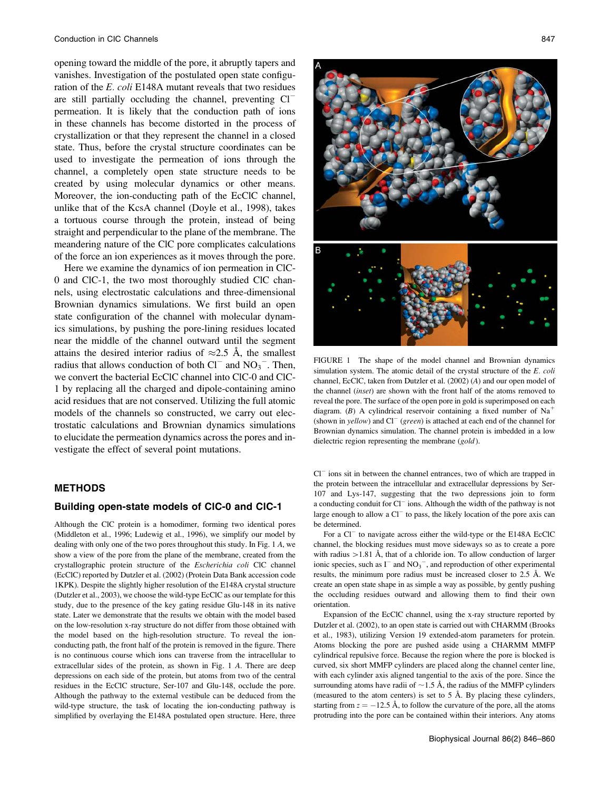opening toward the middle of the pore, it abruptly tapers and vanishes. Investigation of the postulated open state configuration of the E. coli E148A mutant reveals that two residues are still partially occluding the channel, preventing  $Cl^$ permeation. It is likely that the conduction path of ions in these channels has become distorted in the process of crystallization or that they represent the channel in a closed state. Thus, before the crystal structure coordinates can be used to investigate the permeation of ions through the channel, a completely open state structure needs to be created by using molecular dynamics or other means. Moreover, the ion-conducting path of the EcClC channel, unlike that of the KcsA channel (Doyle et al., 1998), takes a tortuous course through the protein, instead of being straight and perpendicular to the plane of the membrane. The meandering nature of the ClC pore complicates calculations of the force an ion experiences as it moves through the pore.

Here we examine the dynamics of ion permeation in ClC-0 and ClC-1, the two most thoroughly studied ClC channels, using electrostatic calculations and three-dimensional Brownian dynamics simulations. We first build an open state configuration of the channel with molecular dynamics simulations, by pushing the pore-lining residues located near the middle of the channel outward until the segment attains the desired interior radius of  $\approx 2.5$  Å, the smallest radius that allows conduction of both  $Cl^-$  and  $NO_3^-$ . Then, we convert the bacterial EcClC channel into ClC-0 and ClC-1 by replacing all the charged and dipole-containing amino acid residues that are not conserved. Utilizing the full atomic models of the channels so constructed, we carry out electrostatic calculations and Brownian dynamics simulations to elucidate the permeation dynamics across the pores and investigate the effect of several point mutations.

### **METHODS**

# Building open-state models of ClC-0 and ClC-1

Although the ClC protein is a homodimer, forming two identical pores (Middleton et al., 1996; Ludewig et al., 1996), we simplify our model by dealing with only one of the two pores throughout this study. In Fig. 1 A, we show a view of the pore from the plane of the membrane, created from the crystallographic protein structure of the Escherichia coli ClC channel (EcClC) reported by Dutzler et al. (2002) (Protein Data Bank accession code 1KPK). Despite the slightly higher resolution of the E148A crystal structure (Dutzler et al., 2003), we choose the wild-type EcClC as our template for this study, due to the presence of the key gating residue Glu-148 in its native state. Later we demonstrate that the results we obtain with the model based on the low-resolution x-ray structure do not differ from those obtained with the model based on the high-resolution structure. To reveal the ionconducting path, the front half of the protein is removed in the figure. There is no continuous course which ions can traverse from the intracellular to extracellular sides of the protein, as shown in Fig. 1 A. There are deep depressions on each side of the protein, but atoms from two of the central residues in the EcClC structure, Ser-107 and Glu-148, occlude the pore. Although the pathway to the external vestibule can be deduced from the wild-type structure, the task of locating the ion-conducting pathway is simplified by overlaying the E148A postulated open structure. Here, three



FIGURE 1 The shape of the model channel and Brownian dynamics simulation system. The atomic detail of the crystal structure of the E. coli channel, EcClC, taken from Dutzler et al. (2002) (A) and our open model of the channel (inset) are shown with the front half of the atoms removed to reveal the pore. The surface of the open pore in gold is superimposed on each diagram. (B) A cylindrical reservoir containing a fixed number of  $Na<sup>+</sup>$ (shown in yellow) and  $Cl^{-}$  (green) is attached at each end of the channel for Brownian dynamics simulation. The channel protein is imbedded in a low dielectric region representing the membrane (gold).

 $Cl<sup>-</sup>$  ions sit in between the channel entrances, two of which are trapped in the protein between the intracellular and extracellular depressions by Ser-107 and Lys-147, suggesting that the two depressions join to form a conducting conduit for  $Cl^-$  ions. Although the width of the pathway is not large enough to allow a  $Cl^-$  to pass, the likely location of the pore axis can be determined.

For a  $Cl^-$  to navigate across either the wild-type or the E148A EcClC channel, the blocking residues must move sideways so as to create a pore with radius  $>1.81$  Å, that of a chloride ion. To allow conduction of larger ionic species, such as  $I^-$  and  $NO_3^-$ , and reproduction of other experimental results, the minimum pore radius must be increased closer to 2.5 Å. We create an open state shape in as simple a way as possible, by gently pushing the occluding residues outward and allowing them to find their own orientation.

Expansion of the EcClC channel, using the x-ray structure reported by Dutzler et al. (2002), to an open state is carried out with CHARMM (Brooks et al., 1983), utilizing Version 19 extended-atom parameters for protein. Atoms blocking the pore are pushed aside using a CHARMM MMFP cylindrical repulsive force. Because the region where the pore is blocked is curved, six short MMFP cylinders are placed along the channel center line, with each cylinder axis aligned tangential to the axis of the pore. Since the surrounding atoms have radii of  $\sim$  1.5 Å, the radius of the MMFP cylinders (measured to the atom centers) is set to  $5 \text{ Å}$ . By placing these cylinders, starting from  $z = -12.5$  Å, to follow the curvature of the pore, all the atoms protruding into the pore can be contained within their interiors. Any atoms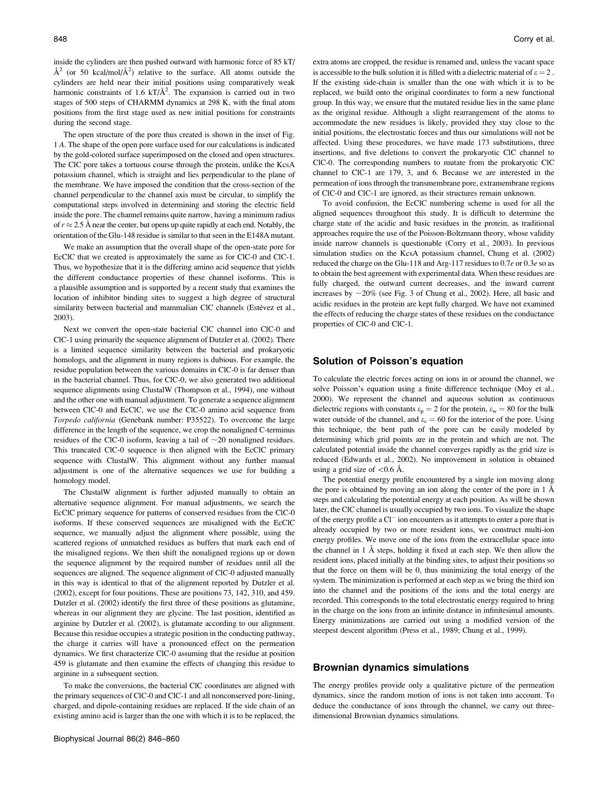inside the cylinders are then pushed outward with harmonic force of 85 kT/  $\AA^2$  (or 50 kcal/mol/ $\AA^2$ ) relative to the surface. All atoms outside the cylinders are held near their initial positions using comparatively weak harmonic constraints of 1.6 kT/ $\AA$ <sup>2</sup>. The expansion is carried out in two stages of 500 steps of CHARMM dynamics at 298 K, with the final atom positions from the first stage used as new initial positions for constraints during the second stage.

The open structure of the pore thus created is shown in the inset of Fig. 1 A. The shape of the open pore surface used for our calculations is indicated by the gold-colored surface superimposed on the closed and open structures. The ClC pore takes a tortuous course through the protein, unlike the KcsA potassium channel, which is straight and lies perpendicular to the plane of the membrane. We have imposed the condition that the cross-section of the channel perpendicular to the channel axis must be circular, to simplify the computational steps involved in determining and storing the electric field inside the pore. The channel remains quite narrow, having a minimum radius of  $r \approx 2.5$  Å near the center, but opens up quite rapidly at each end. Notably, the orientation of the Glu-148 residue is similar to that seen in the E148A mutant.

We make an assumption that the overall shape of the open-state pore for EcClC that we created is approximately the same as for ClC-0 and ClC-1. Thus, we hypothesize that it is the differing amino acid sequence that yields the different conductance properties of these channel isoforms. This is a plausible assumption and is supported by a recent study that examines the location of inhibitor binding sites to suggest a high degree of structural similarity between bacterial and mammalian ClC channels (Estévez et al., 2003).

Next we convert the open-state bacterial ClC channel into ClC-0 and ClC-1 using primarily the sequence alignment of Dutzler et al. (2002). There is a limited sequence similarity between the bacterial and prokaryotic homologs, and the alignment in many regions is dubious. For example, the residue population between the various domains in ClC-0 is far denser than in the bacterial channel. Thus, for ClC-0, we also generated two additional sequence alignments using ClustalW (Thompson et al., 1994), one without and the other one with manual adjustment. To generate a sequence alignment between ClC-0 and EcClC, we use the ClC-0 amino acid sequence from Torpedo california (Genebank number: P35522). To overcome the large difference in the length of the sequence, we crop the nonaligned C-terminus residues of the ClC-0 isoform, leaving a tail of  $\sim$ 20 nonaligned residues. This truncated ClC-0 sequence is then aligned with the EcClC primary sequence with ClustalW. This alignment without any further manual adjustment is one of the alternative sequences we use for building a homology model.

The ClustalW alignment is further adjusted manually to obtain an alternative sequence alignment. For manual adjustments, we search the EcClC primary sequence for patterns of conserved residues from the ClC-0 isoforms. If these conserved sequences are misaligned with the EcClC sequence, we manually adjust the alignment where possible, using the scattered regions of unmatched residues as buffers that mark each end of the misaligned regions. We then shift the nonaligned regions up or down the sequence alignment by the required number of residues until all the sequences are aligned. The sequence alignment of ClC-0 adjusted manually in this way is identical to that of the alignment reported by Dutzler et al. (2002), except for four positions. These are positions 73, 142, 310, and 459. Dutzler et al. (2002) identify the first three of these positions as glutamine, whereas in our alignment they are glycine. The last position, identified as arginine by Dutzler et al. (2002), is glutamate according to our alignment. Because this residue occupies a strategic position in the conducting pathway, the charge it carries will have a pronounced effect on the permeation dynamics. We first characterize ClC-0 assuming that the residue at position 459 is glutamate and then examine the effects of changing this residue to arginine in a subsequent section.

To make the conversions, the bacterial ClC coordinates are aligned with the primary sequences of ClC-0 and ClC-1 and all nonconserved pore-lining, charged, and dipole-containing residues are replaced. If the side chain of an existing amino acid is larger than the one with which it is to be replaced, the extra atoms are cropped, the residue is renamed and, unless the vacant space is accessible to the bulk solution it is filled with a dielectric material of  $\varepsilon = 2$ . If the existing side-chain is smaller than the one with which it is to be replaced, we build onto the original coordinates to form a new functional group. In this way, we ensure that the mutated residue lies in the same plane as the original residue. Although a slight rearrangement of the atoms to accommodate the new residues is likely, provided they stay close to the initial positions, the electrostatic forces and thus our simulations will not be affected. Using these procedures, we have made 173 substitutions, three insertions, and five deletions to convert the prokaryotic ClC channel to ClC-0. The corresponding numbers to mutate from the prokaryotic ClC channel to ClC-1 are 179, 3, and 6. Because we are interested in the permeation of ions through the transmembrane pore, extramembrane regions of ClC-0 and ClC-1 are ignored, as their structures remain unknown.

To avoid confusion, the EcClC numbering scheme is used for all the aligned sequences throughout this study. It is difficult to determine the charge state of the acidic and basic residues in the protein, as traditional approaches require the use of the Poisson-Boltzmann theory, whose validity inside narrow channels is questionable (Corry et al., 2003). In previous simulation studies on the KcsA potassium channel, Chung et al. (2002) reduced the charge on the Glu-118 and Arg-117 residues to 0.7e or 0.3e so as to obtain the best agreement with experimental data. When these residues are fully charged, the outward current decreases, and the inward current increases by  $\sim$ 20% (see Fig. 3 of Chung et al., 2002). Here, all basic and acidic residues in the protein are kept fully charged. We have not examined the effects of reducing the charge states of these residues on the conductance properties of ClC-0 and ClC-1.

### Solution of Poisson's equation

To calculate the electric forces acting on ions in or around the channel, we solve Poisson's equation using a finite difference technique (Moy et al., 2000). We represent the channel and aqueous solution as continuous dielectric regions with constants  $\varepsilon_p = 2$  for the protein,  $\varepsilon_w = 80$  for the bulk water outside of the channel, and  $\varepsilon_c = 60$  for the interior of the pore. Using this technique, the bent path of the pore can be easily modeled by determining which grid points are in the protein and which are not. The calculated potential inside the channel converges rapidly as the grid size is reduced (Edwards et al., 2002). No improvement in solution is obtained using a grid size of  $\langle 0.6 \rangle$ Å.

The potential energy profile encountered by a single ion moving along the pore is obtained by moving an ion along the center of the pore in  $1 \text{ Å}$ steps and calculating the potential energy at each position. As will be shown later, the ClC channel is usually occupied by two ions. To visualize the shape of the energy profile a  $Cl^-$  ion encounters as it attempts to enter a pore that is already occupied by two or more resident ions, we construct multi-ion energy profiles. We move one of the ions from the extracellular space into the channel in 1 Å steps, holding it fixed at each step. We then allow the resident ions, placed initially at the binding sites, to adjust their positions so that the force on them will be 0, thus minimizing the total energy of the system. The minimization is performed at each step as we bring the third ion into the channel and the positions of the ions and the total energy are recorded. This corresponds to the total electrostatic energy required to bring in the charge on the ions from an infinite distance in infinitesimal amounts. Energy minimizations are carried out using a modified version of the steepest descent algorithm (Press et al., 1989; Chung et al., 1999).

#### Brownian dynamics simulations

The energy profiles provide only a qualitative picture of the permeation dynamics, since the random motion of ions is not taken into account. To deduce the conductance of ions through the channel, we carry out threedimensional Brownian dynamics simulations.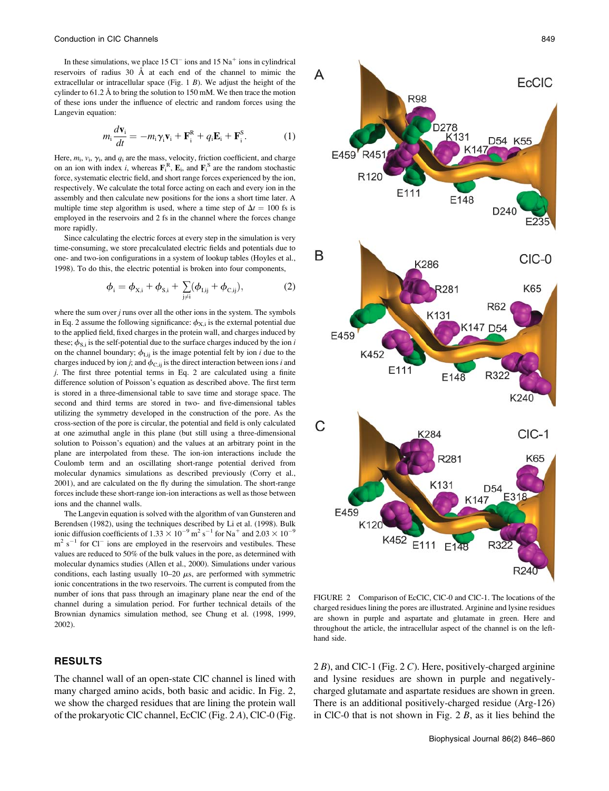In these simulations, we place  $15 \text{ Cl}^-$  ions and  $15 \text{ Na}^+$  ions in cylindrical reservoirs of radius 30 Å at each end of the channel to mimic the extracellular or intracellular space (Fig.  $1 B$ ). We adjust the height of the cylinder to  $61.2 \text{ Å}$  to bring the solution to 150 mM. We then trace the motion of these ions under the influence of electric and random forces using the Langevin equation:

$$
m_i \frac{d\mathbf{v}_i}{dt} = -m_i \gamma_i \mathbf{v}_i + \mathbf{F}_i^R + q_i \mathbf{E}_i + \mathbf{F}_i^S. \tag{1}
$$

Here,  $m_i$ ,  $v_i$ ,  $\gamma_i$ , and  $q_i$  are the mass, velocity, friction coefficient, and charge on an ion with index *i*, whereas  $\mathbf{F}_i^R$ ,  $\mathbf{E}_i$ , and  $\mathbf{F}_i^S$  are the random stochastic force, systematic electric field, and short range forces experienced by the ion, respectively. We calculate the total force acting on each and every ion in the assembly and then calculate new positions for the ions a short time later. A multiple time step algorithm is used, where a time step of  $\Delta t = 100$  fs is employed in the reservoirs and 2 fs in the channel where the forces change more rapidly.

Since calculating the electric forces at every step in the simulation is very time-consuming, we store precalculated electric fields and potentials due to one- and two-ion configurations in a system of lookup tables (Hoyles et al., 1998). To do this, the electric potential is broken into four components,

$$
\phi_{i} = \phi_{X,i} + \phi_{S,i} + \sum_{j \neq i} (\phi_{I,ij} + \phi_{C,ij}),
$$
 (2)

where the sum over  $j$  runs over all the other ions in the system. The symbols in Eq. 2 assume the following significance:  $\phi_{X,i}$  is the external potential due to the applied field, fixed charges in the protein wall, and charges induced by these;  $\phi_{\text{S,i}}$  is the self-potential due to the surface charges induced by the ion i on the channel boundary;  $\phi_{I,ij}$  is the image potential felt by ion *i* due to the charges induced by ion j; and  $\phi_{\text{C,ij}}$  is the direct interaction between ions i and j. The first three potential terms in Eq. 2 are calculated using a finite difference solution of Poisson's equation as described above. The first term is stored in a three-dimensional table to save time and storage space. The second and third terms are stored in two- and five-dimensional tables utilizing the symmetry developed in the construction of the pore. As the cross-section of the pore is circular, the potential and field is only calculated at one azimuthal angle in this plane (but still using a three-dimensional solution to Poisson's equation) and the values at an arbitrary point in the plane are interpolated from these. The ion-ion interactions include the Coulomb term and an oscillating short-range potential derived from molecular dynamics simulations as described previously (Corry et al., 2001), and are calculated on the fly during the simulation. The short-range forces include these short-range ion-ion interactions as well as those between ions and the channel walls.

The Langevin equation is solved with the algorithm of van Gunsteren and Berendsen (1982), using the techniques described by Li et al. (1998). Bulk ionic diffusion coefficients of  $1.33 \times 10^{-9}$  m<sup>2</sup> s<sup>-1</sup> for Na<sup>+</sup> and  $2.03 \times 10^{-9}$  $m<sup>2</sup>$  s<sup>-1</sup> for Cl<sup>-</sup> ions are employed in the reservoirs and vestibules. These values are reduced to 50% of the bulk values in the pore, as determined with molecular dynamics studies (Allen et al., 2000). Simulations under various conditions, each lasting usually  $10-20 \mu s$ , are performed with symmetric ionic concentrations in the two reservoirs. The current is computed from the number of ions that pass through an imaginary plane near the end of the channel during a simulation period. For further technical details of the Brownian dynamics simulation method, see Chung et al. (1998, 1999, 2002).

# RESULTS

The channel wall of an open-state ClC channel is lined with many charged amino acids, both basic and acidic. In Fig. 2, we show the charged residues that are lining the protein wall of the prokaryotic ClC channel, EcClC (Fig. 2 A), ClC-0 (Fig.



FIGURE 2 Comparison of EcClC, ClC-0 and ClC-1. The locations of the charged residues lining the pores are illustrated. Arginine and lysine residues are shown in purple and aspartate and glutamate in green. Here and throughout the article, the intracellular aspect of the channel is on the lefthand side.

 $2 B$ ), and ClC-1 (Fig.  $2 C$ ). Here, positively-charged arginine and lysine residues are shown in purple and negativelycharged glutamate and aspartate residues are shown in green. There is an additional positively-charged residue (Arg-126) in ClC-0 that is not shown in Fig. 2 B, as it lies behind the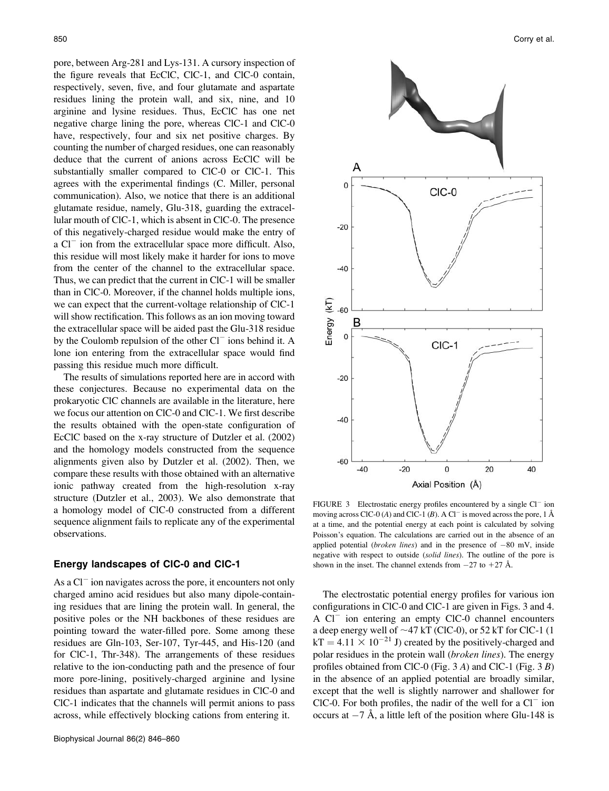pore, between Arg-281 and Lys-131. A cursory inspection of the figure reveals that EcClC, ClC-1, and ClC-0 contain, respectively, seven, five, and four glutamate and aspartate residues lining the protein wall, and six, nine, and 10 arginine and lysine residues. Thus, EcClC has one net negative charge lining the pore, whereas ClC-1 and ClC-0 have, respectively, four and six net positive charges. By counting the number of charged residues, one can reasonably deduce that the current of anions across EcClC will be substantially smaller compared to ClC-0 or ClC-1. This agrees with the experimental findings (C. Miller, personal communication). Also, we notice that there is an additional glutamate residue, namely, Glu-318, guarding the extracellular mouth of ClC-1, which is absent in ClC-0. The presence of this negatively-charged residue would make the entry of a  $Cl^-$  ion from the extracellular space more difficult. Also, this residue will most likely make it harder for ions to move from the center of the channel to the extracellular space. Thus, we can predict that the current in ClC-1 will be smaller than in ClC-0. Moreover, if the channel holds multiple ions, we can expect that the current-voltage relationship of ClC-1 will show rectification. This follows as an ion moving toward the extracellular space will be aided past the Glu-318 residue by the Coulomb repulsion of the other  $Cl^-$  ions behind it. A lone ion entering from the extracellular space would find passing this residue much more difficult.

The results of simulations reported here are in accord with these conjectures. Because no experimental data on the prokaryotic ClC channels are available in the literature, here we focus our attention on ClC-0 and ClC-1. We first describe the results obtained with the open-state configuration of EcClC based on the x-ray structure of Dutzler et al. (2002) and the homology models constructed from the sequence alignments given also by Dutzler et al. (2002). Then, we compare these results with those obtained with an alternative ionic pathway created from the high-resolution x-ray structure (Dutzler et al., 2003). We also demonstrate that a homology model of ClC-0 constructed from a different sequence alignment fails to replicate any of the experimental observations.

### Energy landscapes of ClC-0 and ClC-1

As a  $Cl<sup>-</sup>$  ion navigates across the pore, it encounters not only charged amino acid residues but also many dipole-containing residues that are lining the protein wall. In general, the positive poles or the NH backbones of these residues are pointing toward the water-filled pore. Some among these residues are Gln-103, Ser-107, Tyr-445, and His-120 (and for ClC-1, Thr-348). The arrangements of these residues relative to the ion-conducting path and the presence of four more pore-lining, positively-charged arginine and lysine residues than aspartate and glutamate residues in ClC-0 and ClC-1 indicates that the channels will permit anions to pass across, while effectively blocking cations from entering it.



FIGURE 3 Electrostatic energy profiles encountered by a single  $Cl^-$  ion moving across ClC-0 (A) and ClC-1 (B). A Cl<sup>-</sup> is moved across the pore, 1 Å at a time, and the potential energy at each point is calculated by solving Poisson's equation. The calculations are carried out in the absence of an applied potential (*broken lines*) and in the presence of  $-80$  mV, inside negative with respect to outside (solid lines). The outline of the pore is shown in the inset. The channel extends from  $-27$  to  $+27$  Å.

The electrostatic potential energy profiles for various ion configurations in ClC-0 and ClC-1 are given in Figs. 3 and 4. A  $Cl^-$  ion entering an empty  $ClC-0$  channel encounters a deep energy well of  $\sim$ 47 kT (ClC-0), or 52 kT for ClC-1 (1)  $kT = 4.11 \times 10^{-21}$  J) created by the positively-charged and polar residues in the protein wall (broken lines). The energy profiles obtained from ClC-0 (Fig. 3 A) and ClC-1 (Fig. 3 B) in the absence of an applied potential are broadly similar, except that the well is slightly narrower and shallower for ClC-0. For both profiles, the nadir of the well for a  $Cl<sup>-</sup>$  ion occurs at  $-7$  Å, a little left of the position where Glu-148 is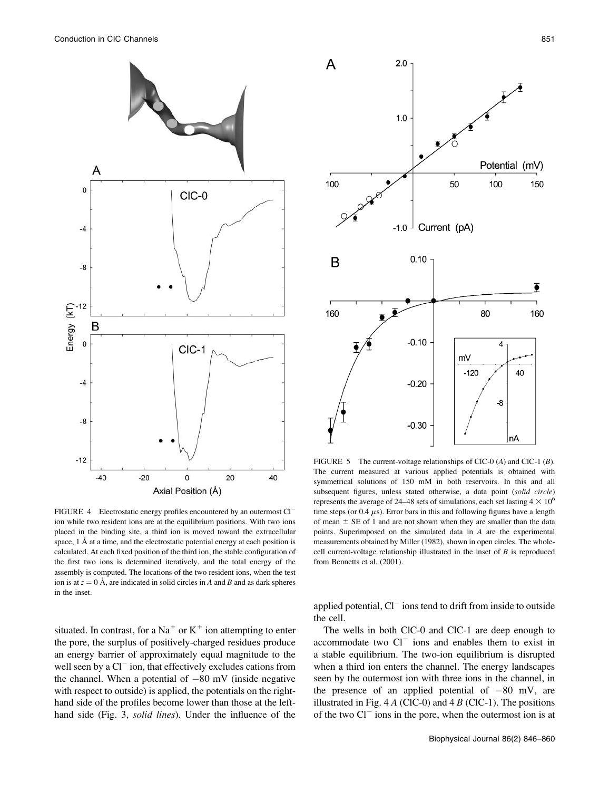

FIGURE 4 Electrostatic energy profiles encountered by an outermost Cl<sup>-</sup> ion while two resident ions are at the equilibrium positions. With two ions placed in the binding site, a third ion is moved toward the extracellular space,  $1 \nA$  at a time, and the electrostatic potential energy at each position is calculated. At each fixed position of the third ion, the stable configuration of the first two ions is determined iteratively, and the total energy of the assembly is computed. The locations of the two resident ions, when the test ion is at  $z = 0$  Å, are indicated in solid circles in A and B and as dark spheres in the inset.

situated. In contrast, for a Na<sup>+</sup> or K<sup>+</sup> ion attempting to enter the pore, the surplus of positively-charged residues produce an energy barrier of approximately equal magnitude to the well seen by a  $Cl^-$  ion, that effectively excludes cations from the channel. When a potential of  $-80$  mV (inside negative with respect to outside) is applied, the potentials on the righthand side of the profiles become lower than those at the lefthand side (Fig. 3, solid lines). Under the influence of the



FIGURE 5 The current-voltage relationships of ClC-0  $(A)$  and ClC-1  $(B)$ . The current measured at various applied potentials is obtained with symmetrical solutions of 150 mM in both reservoirs. In this and all subsequent figures, unless stated otherwise, a data point (solid circle) represents the average of 24–48 sets of simulations, each set lasting  $4 \times 10^6$ time steps (or  $0.4 \mu s$ ). Error bars in this and following figures have a length of mean  $\pm$  SE of 1 and are not shown when they are smaller than the data points. Superimposed on the simulated data in A are the experimental measurements obtained by Miller (1982), shown in open circles. The wholecell current-voltage relationship illustrated in the inset of  $B$  is reproduced from Bennetts et al. (2001).

applied potential,  $Cl^-$  ions tend to drift from inside to outside the cell.

The wells in both ClC-0 and ClC-1 are deep enough to accommodate two  $Cl^-$  ions and enables them to exist in a stable equilibrium. The two-ion equilibrium is disrupted when a third ion enters the channel. The energy landscapes seen by the outermost ion with three ions in the channel, in the presence of an applied potential of  $-80$  mV, are illustrated in Fig. 4  $A$  (ClC-0) and 4  $B$  (ClC-1). The positions of the two  $Cl^-$  ions in the pore, when the outermost ion is at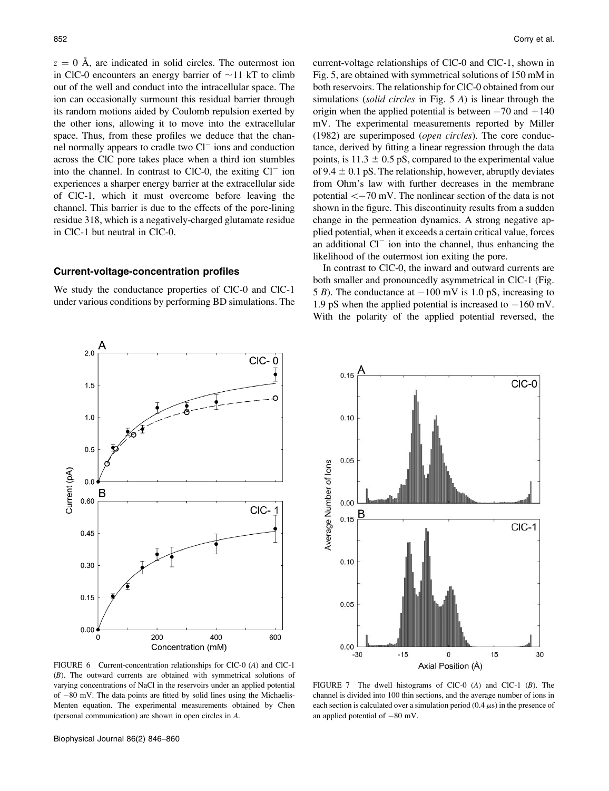$z = 0$  Å, are indicated in solid circles. The outermost ion in ClC-0 encounters an energy barrier of  $\sim$ 11 kT to climb out of the well and conduct into the intracellular space. The ion can occasionally surmount this residual barrier through its random motions aided by Coulomb repulsion exerted by the other ions, allowing it to move into the extracellular space. Thus, from these profiles we deduce that the channel normally appears to cradle two  $Cl<sup>-</sup>$  ions and conduction across the ClC pore takes place when a third ion stumbles into the channel. In contrast to ClC-0, the exiting  $Cl<sup>-</sup>$  ion experiences a sharper energy barrier at the extracellular side of ClC-1, which it must overcome before leaving the channel. This barrier is due to the effects of the pore-lining residue 318, which is a negatively-charged glutamate residue in ClC-1 but neutral in ClC-0.

### Current-voltage-concentration profiles

We study the conductance properties of ClC-0 and ClC-1 under various conditions by performing BD simulations. The current-voltage relationships of ClC-0 and ClC-1, shown in Fig. 5, are obtained with symmetrical solutions of 150 mM in both reservoirs. The relationship for ClC-0 obtained from our simulations (solid circles in Fig. 5 A) is linear through the origin when the applied potential is between  $-70$  and  $+140$ mV. The experimental measurements reported by Miller (1982) are superimposed (open circles). The core conductance, derived by fitting a linear regression through the data points, is  $11.3 \pm 0.5$  pS, compared to the experimental value of 9.4  $\pm$  0.1 pS. The relationship, however, abruptly deviates from Ohm's law with further decreases in the membrane potential  $<-70$  mV. The nonlinear section of the data is not shown in the figure. This discontinuity results from a sudden change in the permeation dynamics. A strong negative applied potential, when it exceeds a certain critical value, forces an additional  $Cl^-$  ion into the channel, thus enhancing the likelihood of the outermost ion exiting the pore.

In contrast to ClC-0, the inward and outward currents are both smaller and pronouncedly asymmetrical in ClC-1 (Fig. 5 B). The conductance at  $-100$  mV is 1.0 pS, increasing to 1.9 pS when the applied potential is increased to  $-160$  mV. With the polarity of the applied potential reversed, the





FIGURE 6 Current-concentration relationships for ClC-0 (A) and ClC-1 (B). The outward currents are obtained with symmetrical solutions of varying concentrations of NaCl in the reservoirs under an applied potential of  $-80$  mV. The data points are fitted by solid lines using the Michaelis-Menten equation. The experimental measurements obtained by Chen (personal communication) are shown in open circles in A.

FIGURE 7 The dwell histograms of ClC-0 (A) and ClC-1 (B). The channel is divided into 100 thin sections, and the average number of ions in each section is calculated over a simulation period  $(0.4 \mu s)$  in the presence of an applied potential of  $-80$  mV.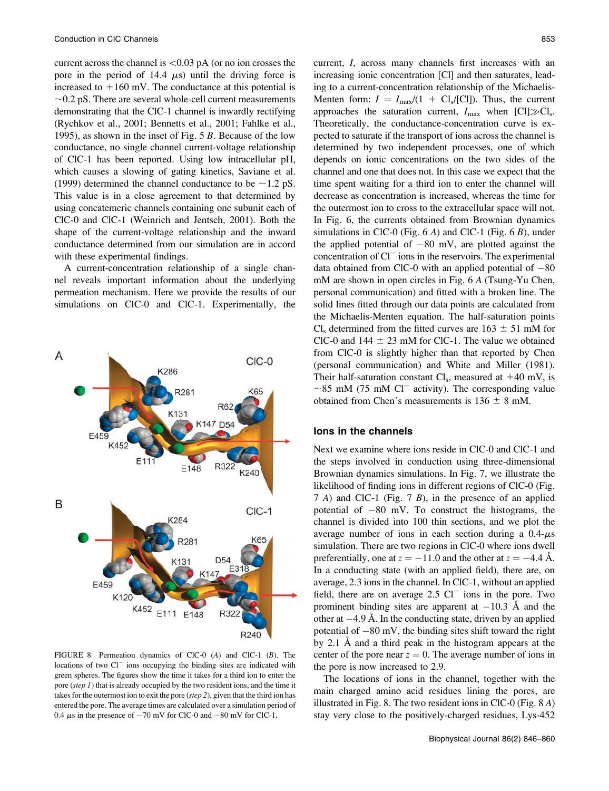current across the channel is  $\langle 0.03 \rangle$  pA (or no ion crosses the pore in the period of 14.4  $\mu$ s) until the driving force is increased to  $+160$  mV. The conductance at this potential is  $\sim$ 0.2 pS. There are several whole-cell current measurements demonstrating that the ClC-1 channel is inwardly rectifying (Rychkov et al., 2001; Bennetts et al., 2001; Fahlke et al., 1995), as shown in the inset of Fig. 5 B. Because of the low conductance, no single channel current-voltage relationship of ClC-1 has been reported. Using low intracellular pH, which causes a slowing of gating kinetics, Saviane et al. (1999) determined the channel conductance to be  $\sim$  1.2 pS. This value is in a close agreement to that determined by using concatemeric channels containing one subunit each of ClC-0 and ClC-1 (Weinrich and Jentsch, 2001). Both the shape of the current-voltage relationship and the inward conductance determined from our simulation are in accord with these experimental findings.

A current-concentration relationship of a single channel reveals important information about the underlying permeation mechanism. Here we provide the results of our simulations on ClC-0 and ClC-1. Experimentally, the



FIGURE 8 Permeation dynamics of ClC-0 (A) and ClC-1 (B). The locations of two Cl<sup>-</sup> ions occupying the binding sites are indicated with green spheres. The figures show the time it takes for a third ion to enter the pore (step 1) that is already occupied by the two resident ions, and the time it takes for the outermost ion to exit the pore  $(\text{step } 2)$ , given that the third ion has entered the pore. The average times are calculated over a simulation period of 0.4  $\mu$ s in the presence of  $-70$  mV for ClC-0 and  $-80$  mV for ClC-1.

current, I, across many channels first increases with an increasing ionic concentration [Cl] and then saturates, leading to a current-concentration relationship of the Michaelis-Menten form:  $I = I_{\text{max}}/(1 + \text{Cl}_{s}/[\text{Cl}])$ . Thus, the current approaches the saturation current,  $I_{\text{max}}$  when [Cl] $\gg$ Cl<sub>s</sub>. Theoretically, the conductance-concentration curve is expected to saturate if the transport of ions across the channel is determined by two independent processes, one of which depends on ionic concentrations on the two sides of the channel and one that does not. In this case we expect that the time spent waiting for a third ion to enter the channel will decrease as concentration is increased, whereas the time for the outermost ion to cross to the extracellular space will not. In Fig. 6, the currents obtained from Brownian dynamics simulations in ClC-0 (Fig.  $6 \text{ Å}$ ) and ClC-1 (Fig.  $6 \text{ B}$ ), under the applied potential of  $-80$  mV, are plotted against the concentration of  $Cl^-$  ions in the reservoirs. The experimental data obtained from ClC-0 with an applied potential of  $-80$ mM are shown in open circles in Fig. 6 A (Tsung-Yu Chen, personal communication) and fitted with a broken line. The solid lines fitted through our data points are calculated from the Michaelis-Menten equation. The half-saturation points Cl<sub>s</sub> determined from the fitted curves are  $163 \pm 51$  mM for ClC-0 and  $144 \pm 23$  mM for ClC-1. The value we obtained from ClC-0 is slightly higher than that reported by Chen (personal communication) and White and Miller (1981). Their half-saturation constant  $Cl_s$ , measured at  $+40$  mV, is  $\sim$ 85 mM (75 mM Cl<sup>-</sup> activity). The corresponding value obtained from Chen's measurements is  $136 \pm 8$  mM.

### Ions in the channels

Next we examine where ions reside in ClC-0 and ClC-1 and the steps involved in conduction using three-dimensional Brownian dynamics simulations. In Fig. 7, we illustrate the likelihood of finding ions in different regions of ClC-0 (Fig. 7 A) and ClC-1 (Fig. 7 B), in the presence of an applied potential of  $-80$  mV. To construct the histograms, the channel is divided into 100 thin sections, and we plot the average number of ions in each section during a  $0.4-\mu s$ simulation. There are two regions in ClC-0 where ions dwell preferentially, one at  $z = -11.0$  and the other at  $z = -4.4$  Å. In a conducting state (with an applied field), there are, on average, 2.3 ions in the channel. In ClC-1, without an applied field, there are on average  $2.5 \text{ Cl}^-$  ions in the pore. Two prominent binding sites are apparent at  $-10.3$  Å and the other at  $-4.9$  Å. In the conducting state, driven by an applied potential of  $-80$  mV, the binding sites shift toward the right by 2.1 Å and a third peak in the histogram appears at the center of the pore near  $z = 0$ . The average number of ions in the pore is now increased to 2.9.

The locations of ions in the channel, together with the main charged amino acid residues lining the pores, are illustrated in Fig. 8. The two resident ions in ClC-0 (Fig. 8 A) stay very close to the positively-charged residues, Lys-452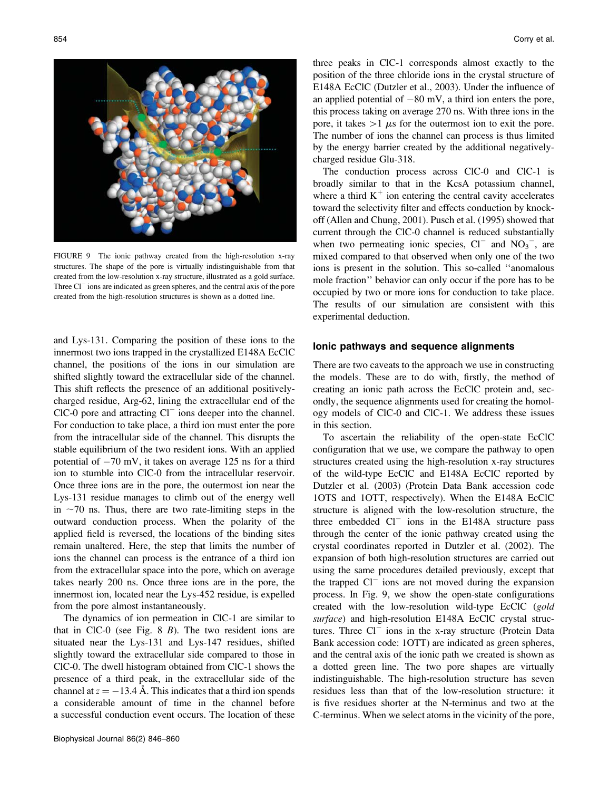

FIGURE 9 The ionic pathway created from the high-resolution x-ray structures. The shape of the pore is virtually indistinguishable from that created from the low-resolution x-ray structure, illustrated as a gold surface. Three  $Cl^-$  ions are indicated as green spheres, and the central axis of the pore created from the high-resolution structures is shown as a dotted line.

and Lys-131. Comparing the position of these ions to the innermost two ions trapped in the crystallized E148A EcClC channel, the positions of the ions in our simulation are shifted slightly toward the extracellular side of the channel. This shift reflects the presence of an additional positivelycharged residue, Arg-62, lining the extracellular end of the  $CIC-0$  pore and attracting  $Cl^-$  ions deeper into the channel. For conduction to take place, a third ion must enter the pore from the intracellular side of the channel. This disrupts the stable equilibrium of the two resident ions. With an applied potential of  $-70$  mV, it takes on average 125 ns for a third ion to stumble into ClC-0 from the intracellular reservoir. Once three ions are in the pore, the outermost ion near the Lys-131 residue manages to climb out of the energy well in  $\sim$ 70 ns. Thus, there are two rate-limiting steps in the outward conduction process. When the polarity of the applied field is reversed, the locations of the binding sites remain unaltered. Here, the step that limits the number of ions the channel can process is the entrance of a third ion from the extracellular space into the pore, which on average takes nearly 200 ns. Once three ions are in the pore, the innermost ion, located near the Lys-452 residue, is expelled from the pore almost instantaneously.

The dynamics of ion permeation in ClC-1 are similar to that in ClC-0 (see Fig.  $8$  B). The two resident ions are situated near the Lys-131 and Lys-147 residues, shifted slightly toward the extracellular side compared to those in ClC-0. The dwell histogram obtained from ClC-1 shows the presence of a third peak, in the extracellular side of the channel at  $z = -13.4$  Å. This indicates that a third ion spends a considerable amount of time in the channel before a successful conduction event occurs. The location of these three peaks in ClC-1 corresponds almost exactly to the position of the three chloride ions in the crystal structure of E148A EcClC (Dutzler et al., 2003). Under the influence of an applied potential of  $-80$  mV, a third ion enters the pore, this process taking on average 270 ns. With three ions in the pore, it takes  $>1 \mu s$  for the outermost ion to exit the pore. The number of ions the channel can process is thus limited by the energy barrier created by the additional negativelycharged residue Glu-318.

The conduction process across ClC-0 and ClC-1 is broadly similar to that in the KcsA potassium channel, where a third  $K^+$  ion entering the central cavity accelerates toward the selectivity filter and effects conduction by knockoff (Allen and Chung, 2001). Pusch et al. (1995) showed that current through the ClC-0 channel is reduced substantially when two permeating ionic species,  $Cl^-$  and  $NO_3^-$ , are mixed compared to that observed when only one of the two ions is present in the solution. This so-called ''anomalous mole fraction'' behavior can only occur if the pore has to be occupied by two or more ions for conduction to take place. The results of our simulation are consistent with this experimental deduction.

### Ionic pathways and sequence alignments

There are two caveats to the approach we use in constructing the models. These are to do with, firstly, the method of creating an ionic path across the EcClC protein and, secondly, the sequence alignments used for creating the homology models of ClC-0 and ClC-1. We address these issues in this section.

To ascertain the reliability of the open-state EcClC configuration that we use, we compare the pathway to open structures created using the high-resolution x-ray structures of the wild-type EcClC and E148A EcClC reported by Dutzler et al. (2003) (Protein Data Bank accession code 1OTS and 1OTT, respectively). When the E148A EcClC structure is aligned with the low-resolution structure, the three embedded  $Cl^-$  ions in the E148A structure pass through the center of the ionic pathway created using the crystal coordinates reported in Dutzler et al. (2002). The expansion of both high-resolution structures are carried out using the same procedures detailed previously, except that the trapped  $Cl^-$  ions are not moved during the expansion process. In Fig. 9, we show the open-state configurations created with the low-resolution wild-type EcClC (gold surface) and high-resolution E148A EcClC crystal structures. Three  $Cl^-$  ions in the x-ray structure (Protein Data Bank accession code: 1OTT) are indicated as green spheres, and the central axis of the ionic path we created is shown as a dotted green line. The two pore shapes are virtually indistinguishable. The high-resolution structure has seven residues less than that of the low-resolution structure: it is five residues shorter at the N-terminus and two at the C-terminus. When we select atoms in the vicinity of the pore,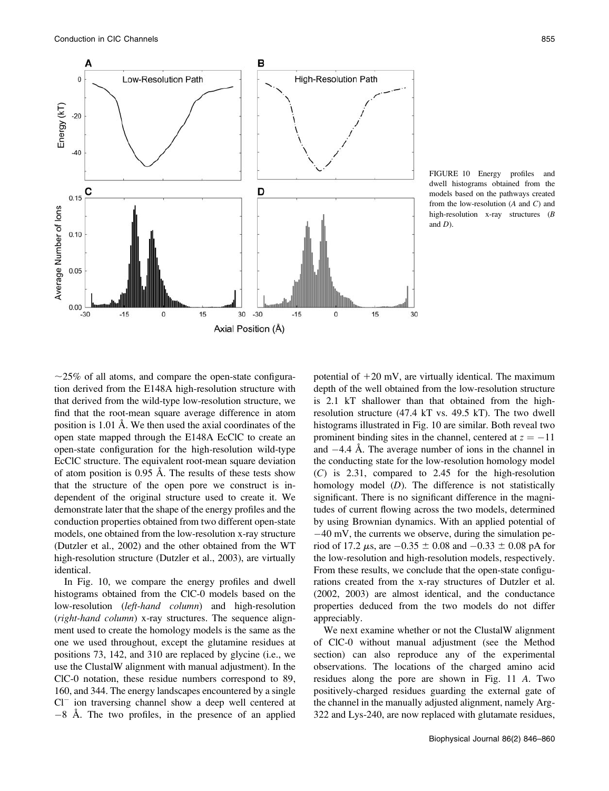

FIGURE 10 Energy profiles and dwell histograms obtained from the models based on the pathways created from the low-resolution  $(A \text{ and } C)$  and high-resolution x-ray structures (B and D).

 $\sim$ 25% of all atoms, and compare the open-state configuration derived from the E148A high-resolution structure with that derived from the wild-type low-resolution structure, we find that the root-mean square average difference in atom position is  $1.01 \text{ Å}$ . We then used the axial coordinates of the open state mapped through the E148A EcClC to create an open-state configuration for the high-resolution wild-type EcClC structure. The equivalent root-mean square deviation of atom position is  $0.95$  Å. The results of these tests show that the structure of the open pore we construct is independent of the original structure used to create it. We demonstrate later that the shape of the energy profiles and the conduction properties obtained from two different open-state models, one obtained from the low-resolution x-ray structure (Dutzler et al., 2002) and the other obtained from the WT high-resolution structure (Dutzler et al., 2003), are virtually identical.

In Fig. 10, we compare the energy profiles and dwell histograms obtained from the ClC-0 models based on the low-resolution (left-hand column) and high-resolution (right-hand column) x-ray structures. The sequence alignment used to create the homology models is the same as the one we used throughout, except the glutamine residues at positions 73, 142, and 310 are replaced by glycine (i.e., we use the ClustalW alignment with manual adjustment). In the ClC-0 notation, these residue numbers correspond to 89, 160, and 344. The energy landscapes encountered by a single  $Cl^-$  ion traversing channel show a deep well centered at  $-8$  Å. The two profiles, in the presence of an applied potential of  $+20$  mV, are virtually identical. The maximum depth of the well obtained from the low-resolution structure is 2.1 kT shallower than that obtained from the highresolution structure (47.4 kT vs. 49.5 kT). The two dwell histograms illustrated in Fig. 10 are similar. Both reveal two prominent binding sites in the channel, centered at  $z = -11$ and  $-4.4$  Å. The average number of ions in the channel in the conducting state for the low-resolution homology model (C) is 2.31, compared to 2.45 for the high-resolution homology model  $(D)$ . The difference is not statistically significant. There is no significant difference in the magnitudes of current flowing across the two models, determined by using Brownian dynamics. With an applied potential of  $-40$  mV, the currents we observe, during the simulation period of 17.2  $\mu$ s, are  $-0.35 \pm 0.08$  and  $-0.33 \pm 0.08$  pA for the low-resolution and high-resolution models, respectively. From these results, we conclude that the open-state configurations created from the x-ray structures of Dutzler et al. (2002, 2003) are almost identical, and the conductance properties deduced from the two models do not differ appreciably.

We next examine whether or not the ClustalW alignment of ClC-0 without manual adjustment (see the Method section) can also reproduce any of the experimental observations. The locations of the charged amino acid residues along the pore are shown in Fig. 11 A. Two positively-charged residues guarding the external gate of the channel in the manually adjusted alignment, namely Arg-322 and Lys-240, are now replaced with glutamate residues,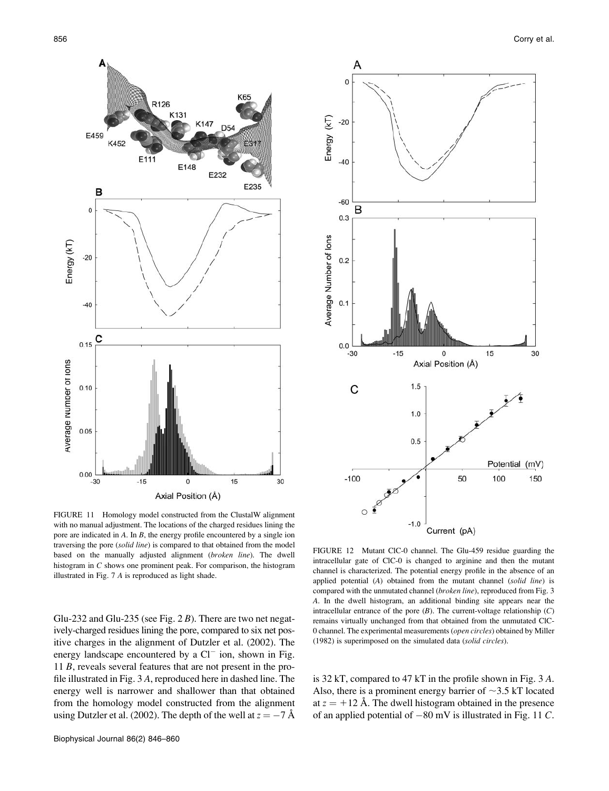

FIGURE 11 Homology model constructed from the ClustalW alignment with no manual adjustment. The locations of the charged residues lining the pore are indicated in A. In B, the energy profile encountered by a single ion traversing the pore (solid line) is compared to that obtained from the model based on the manually adjusted alignment (broken line). The dwell histogram in C shows one prominent peak. For comparison, the histogram illustrated in Fig. 7 A is reproduced as light shade.

Glu-232 and Glu-235 (see Fig.  $2B$ ). There are two net negatively-charged residues lining the pore, compared to six net positive charges in the alignment of Dutzler et al. (2002). The energy landscape encountered by a  $Cl^-$  ion, shown in Fig. 11 B, reveals several features that are not present in the profile illustrated in Fig. 3 A, reproduced here in dashed line. The energy well is narrower and shallower than that obtained from the homology model constructed from the alignment using Dutzler et al. (2002). The depth of the well at  $z = -7 \text{ Å}$ 



FIGURE 12 Mutant ClC-0 channel. The Glu-459 residue guarding the intracellular gate of ClC-0 is changed to arginine and then the mutant channel is characterized. The potential energy profile in the absence of an applied potential (A) obtained from the mutant channel (solid line) is compared with the unmutated channel (broken line), reproduced from Fig. 3 A. In the dwell histogram, an additional binding site appears near the intracellular entrance of the pore  $(B)$ . The current-voltage relationship  $(C)$ remains virtually unchanged from that obtained from the unmutated ClC-0 channel. The experimental measurements (open circles) obtained by Miller (1982) is superimposed on the simulated data (solid circles).

is 32 kT, compared to 47 kT in the profile shown in Fig. 3 A. Also, there is a prominent energy barrier of  $\sim$ 3.5 kT located at  $z = +12$  Å. The dwell histogram obtained in the presence of an applied potential of  $-80$  mV is illustrated in Fig. 11 C.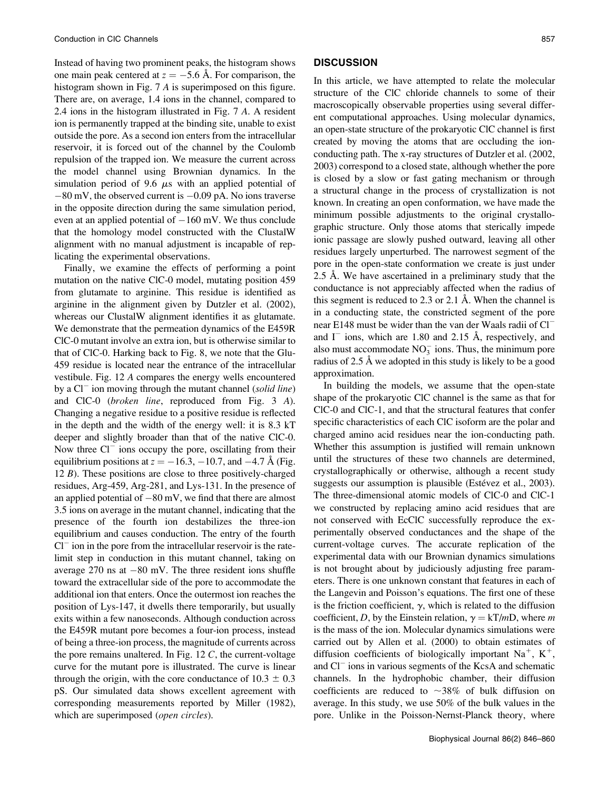Instead of having two prominent peaks, the histogram shows one main peak centered at  $z = -5.6$  Å. For comparison, the histogram shown in Fig. 7 A is superimposed on this figure. There are, on average, 1.4 ions in the channel, compared to 2.4 ions in the histogram illustrated in Fig. 7 A. A resident ion is permanently trapped at the binding site, unable to exist outside the pore. As a second ion enters from the intracellular reservoir, it is forced out of the channel by the Coulomb repulsion of the trapped ion. We measure the current across the model channel using Brownian dynamics. In the simulation period of 9.6  $\mu$ s with an applied potential of  $-80$  mV, the observed current is  $-0.09$  pA. No ions traverse in the opposite direction during the same simulation period, even at an applied potential of  $-160$  mV. We thus conclude that the homology model constructed with the ClustalW alignment with no manual adjustment is incapable of replicating the experimental observations.

Finally, we examine the effects of performing a point mutation on the native ClC-0 model, mutating position 459 from glutamate to arginine. This residue is identified as arginine in the alignment given by Dutzler et al. (2002), whereas our ClustalW alignment identifies it as glutamate. We demonstrate that the permeation dynamics of the E459R ClC-0 mutant involve an extra ion, but is otherwise similar to that of ClC-0. Harking back to Fig. 8, we note that the Glu-459 residue is located near the entrance of the intracellular vestibule. Fig. 12 A compares the energy wells encountered by a  $Cl^-$  ion moving through the mutant channel (solid line) and ClC-0 (broken line, reproduced from Fig. 3 A). Changing a negative residue to a positive residue is reflected in the depth and the width of the energy well: it is 8.3 kT deeper and slightly broader than that of the native ClC-0. Now three  $Cl^-$  ions occupy the pore, oscillating from their equilibrium positions at  $z = -16.3, -10.7$ , and  $-4.7 \text{ Å}$  (Fig. 12 B). These positions are close to three positively-charged residues, Arg-459, Arg-281, and Lys-131. In the presence of an applied potential of  $-80$  mV, we find that there are almost 3.5 ions on average in the mutant channel, indicating that the presence of the fourth ion destabilizes the three-ion equilibrium and causes conduction. The entry of the fourth  $Cl<sup>-</sup>$  ion in the pore from the intracellular reservoir is the ratelimit step in conduction in this mutant channel, taking on average 270 ns at  $-80$  mV. The three resident ions shuffle toward the extracellular side of the pore to accommodate the additional ion that enters. Once the outermost ion reaches the position of Lys-147, it dwells there temporarily, but usually exits within a few nanoseconds. Although conduction across the E459R mutant pore becomes a four-ion process, instead of being a three-ion process, the magnitude of currents across the pore remains unaltered. In Fig. 12  $C$ , the current-voltage curve for the mutant pore is illustrated. The curve is linear through the origin, with the core conductance of  $10.3 \pm 0.3$ pS. Our simulated data shows excellent agreement with corresponding measurements reported by Miller (1982), which are superimposed (open circles).

### **DISCUSSION**

In this article, we have attempted to relate the molecular structure of the ClC chloride channels to some of their macroscopically observable properties using several different computational approaches. Using molecular dynamics, an open-state structure of the prokaryotic ClC channel is first created by moving the atoms that are occluding the ionconducting path. The x-ray structures of Dutzler et al. (2002, 2003) correspond to a closed state, although whether the pore is closed by a slow or fast gating mechanism or through a structural change in the process of crystallization is not known. In creating an open conformation, we have made the minimum possible adjustments to the original crystallographic structure. Only those atoms that sterically impede ionic passage are slowly pushed outward, leaving all other residues largely unperturbed. The narrowest segment of the pore in the open-state conformation we create is just under 2.5 Å. We have ascertained in a preliminary study that the conductance is not appreciably affected when the radius of this segment is reduced to  $2.3$  or  $2.1$  Å. When the channel is in a conducting state, the constricted segment of the pore near E148 must be wider than the van der Waals radii of Cl and  $I^-$  ions, which are 1.80 and 2.15 Å, respectively, and also must accommodate  $NO_3^-$  ions. Thus, the minimum pore radius of  $2.5 \text{ Å}$  we adopted in this study is likely to be a good approximation.

In building the models, we assume that the open-state shape of the prokaryotic ClC channel is the same as that for ClC-0 and ClC-1, and that the structural features that confer specific characteristics of each ClC isoform are the polar and charged amino acid residues near the ion-conducting path. Whether this assumption is justified will remain unknown until the structures of these two channels are determined, crystallographically or otherwise, although a recent study suggests our assumption is plausible (Estévez et al., 2003). The three-dimensional atomic models of ClC-0 and ClC-1 we constructed by replacing amino acid residues that are not conserved with EcClC successfully reproduce the experimentally observed conductances and the shape of the current-voltage curves. The accurate replication of the experimental data with our Brownian dynamics simulations is not brought about by judiciously adjusting free parameters. There is one unknown constant that features in each of the Langevin and Poisson's equations. The first one of these is the friction coefficient,  $\gamma$ , which is related to the diffusion coefficient, D, by the Einstein relation,  $\gamma = kT/mD$ , where m is the mass of the ion. Molecular dynamics simulations were carried out by Allen et al. (2000) to obtain estimates of diffusion coefficients of biologically important  $Na^+$ ,  $K^+$ , and  $Cl<sup>-</sup>$  ions in various segments of the KcsA and schematic channels. In the hydrophobic chamber, their diffusion coefficients are reduced to  $\sim$ 38% of bulk diffusion on average. In this study, we use 50% of the bulk values in the pore. Unlike in the Poisson-Nernst-Planck theory, where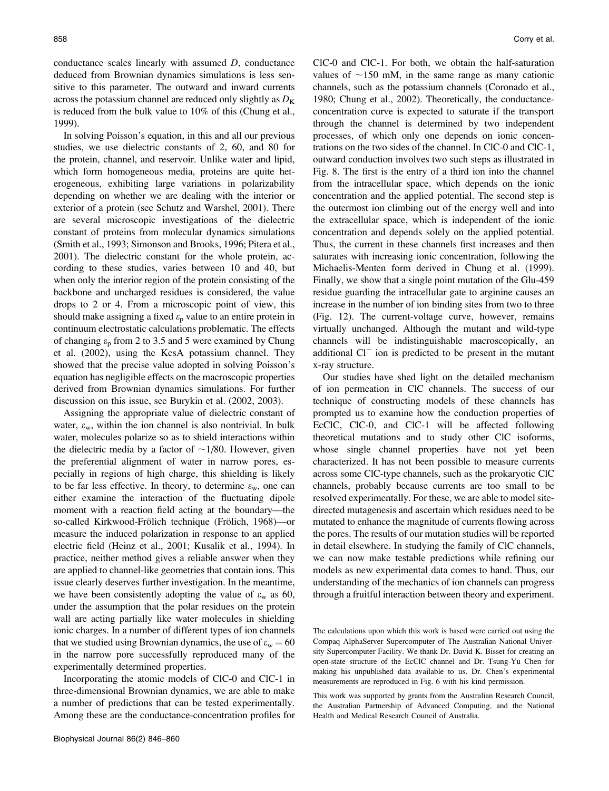conductance scales linearly with assumed D, conductance deduced from Brownian dynamics simulations is less sensitive to this parameter. The outward and inward currents across the potassium channel are reduced only slightly as  $D<sub>K</sub>$ is reduced from the bulk value to 10% of this (Chung et al., 1999).

In solving Poisson's equation, in this and all our previous studies, we use dielectric constants of 2, 60, and 80 for the protein, channel, and reservoir. Unlike water and lipid, which form homogeneous media, proteins are quite heterogeneous, exhibiting large variations in polarizability depending on whether we are dealing with the interior or exterior of a protein (see Schutz and Warshel, 2001). There are several microscopic investigations of the dielectric constant of proteins from molecular dynamics simulations (Smith et al., 1993; Simonson and Brooks, 1996; Pitera et al., 2001). The dielectric constant for the whole protein, according to these studies, varies between 10 and 40, but when only the interior region of the protein consisting of the backbone and uncharged residues is considered, the value drops to 2 or 4. From a microscopic point of view, this should make assigning a fixed  $\varepsilon_{p}$  value to an entire protein in continuum electrostatic calculations problematic. The effects of changing  $\varepsilon_p$  from 2 to 3.5 and 5 were examined by Chung et al. (2002), using the KcsA potassium channel. They showed that the precise value adopted in solving Poisson's equation has negligible effects on the macroscopic properties derived from Brownian dynamics simulations. For further discussion on this issue, see Burykin et al. (2002, 2003).

Assigning the appropriate value of dielectric constant of water,  $\varepsilon_w$ , within the ion channel is also nontrivial. In bulk water, molecules polarize so as to shield interactions within the dielectric media by a factor of  $\sim$ 1/80. However, given the preferential alignment of water in narrow pores, especially in regions of high charge, this shielding is likely to be far less effective. In theory, to determine  $\varepsilon_w$ , one can either examine the interaction of the fluctuating dipole moment with a reaction field acting at the boundary—the so-called Kirkwood-Frölich technique (Frölich, 1968)—or measure the induced polarization in response to an applied electric field (Heinz et al., 2001; Kusalik et al., 1994). In practice, neither method gives a reliable answer when they are applied to channel-like geometries that contain ions. This issue clearly deserves further investigation. In the meantime, we have been consistently adopting the value of  $\varepsilon_w$  as 60, under the assumption that the polar residues on the protein wall are acting partially like water molecules in shielding ionic charges. In a number of different types of ion channels that we studied using Brownian dynamics, the use of  $\varepsilon_w = 60$ in the narrow pore successfully reproduced many of the experimentally determined properties.

Incorporating the atomic models of ClC-0 and ClC-1 in three-dimensional Brownian dynamics, we are able to make a number of predictions that can be tested experimentally. Among these are the conductance-concentration profiles for ClC-0 and ClC-1. For both, we obtain the half-saturation values of  $\sim$ 150 mM, in the same range as many cationic channels, such as the potassium channels (Coronado et al., 1980; Chung et al., 2002). Theoretically, the conductanceconcentration curve is expected to saturate if the transport through the channel is determined by two independent processes, of which only one depends on ionic concentrations on the two sides of the channel. In ClC-0 and ClC-1, outward conduction involves two such steps as illustrated in Fig. 8. The first is the entry of a third ion into the channel from the intracellular space, which depends on the ionic concentration and the applied potential. The second step is the outermost ion climbing out of the energy well and into the extracellular space, which is independent of the ionic concentration and depends solely on the applied potential. Thus, the current in these channels first increases and then saturates with increasing ionic concentration, following the Michaelis-Menten form derived in Chung et al. (1999). Finally, we show that a single point mutation of the Glu-459 residue guarding the intracellular gate to arginine causes an increase in the number of ion binding sites from two to three (Fig. 12). The current-voltage curve, however, remains virtually unchanged. Although the mutant and wild-type channels will be indistinguishable macroscopically, an additional  $Cl^-$  ion is predicted to be present in the mutant x-ray structure.

Our studies have shed light on the detailed mechanism of ion permeation in ClC channels. The success of our technique of constructing models of these channels has prompted us to examine how the conduction properties of EcClC, ClC-0, and ClC-1 will be affected following theoretical mutations and to study other ClC isoforms, whose single channel properties have not yet been characterized. It has not been possible to measure currents across some ClC-type channels, such as the prokaryotic ClC channels, probably because currents are too small to be resolved experimentally. For these, we are able to model sitedirected mutagenesis and ascertain which residues need to be mutated to enhance the magnitude of currents flowing across the pores. The results of our mutation studies will be reported in detail elsewhere. In studying the family of ClC channels, we can now make testable predictions while refining our models as new experimental data comes to hand. Thus, our understanding of the mechanics of ion channels can progress through a fruitful interaction between theory and experiment.

The calculations upon which this work is based were carried out using the Compaq AlphaServer Supercomputer of The Australian National University Supercomputer Facility. We thank Dr. David K. Bisset for creating an open-state structure of the EcClC channel and Dr. Tsung-Yu Chen for making his unpublished data available to us. Dr. Chen's experimental measurements are reproduced in Fig. 6 with his kind permission.

This work was supported by grants from the Australian Research Council, the Australian Partnership of Advanced Computing, and the National Health and Medical Research Council of Australia.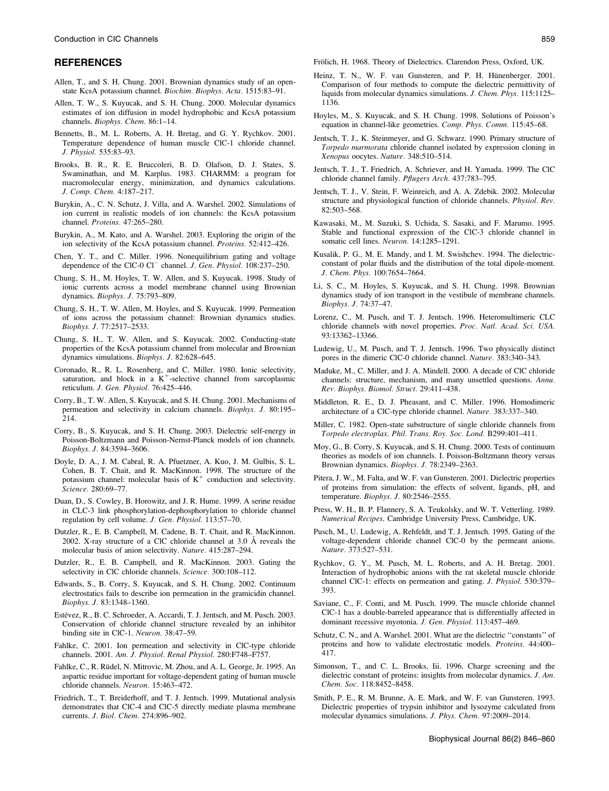### **REFERENCES**

- Allen, T., and S. H. Chung. 2001. Brownian dynamics study of an openstate KcsA potassium channel. Biochim. Biophys. Acta. 1515:83–91.
- Allen, T. W., S. Kuyucak, and S. H. Chung. 2000. Molecular dynamics estimates of ion diffusion in model hydrophobic and KcsA potassium channels. Biophys. Chem. 86:1–14.
- Bennetts, B., M. L. Roberts, A. H. Bretag, and G. Y. Rychkov. 2001. Temperature dependence of human muscle ClC-1 chloride channel. J. Physiol. 535:83–93.
- Brooks, B. R., R. E. Bruccoleri, B. D. Olafson, D. J. States, S. Swaminathan, and M. Karplus. 1983. CHARMM: a program for macromolecular energy, minimization, and dynamics calculations. J. Comp. Chem. 4:187–217.
- Burykin, A., C. N. Schutz, J. Villa, and A. Warshel. 2002. Simulations of ion current in realistic models of ion channels: the KcsA potassium channel. Proteins. 47:265–280.
- Burykin, A., M. Kato, and A. Warshel. 2003. Exploring the origin of the ion selectivity of the KcsA potassium channel. Proteins. 52:412–426.
- Chen, Y. T., and C. Miller. 1996. Nonequilibrium gating and voltage dependence of the ClC-0 Cl<sup>-</sup> channel. J. Gen. Physiol. 108:237-250.
- Chung, S. H., M. Hoyles, T. W. Allen, and S. Kuyucak. 1998. Study of ionic currents across a model membrane channel using Brownian dynamics. Biophys. J. 75:793–809.
- Chung, S. H., T. W. Allen, M. Hoyles, and S. Kuyucak. 1999. Permeation of ions across the potassium channel: Brownian dynamics studies. Biophys. J. 77:2517–2533.
- Chung, S. H., T. W. Allen, and S. Kuyucak. 2002. Conducting-state properties of the KcsA potassium channel from molecular and Brownian dynamics simulations. Biophys. J. 82:628–645.
- Coronado, R., R. L. Rosenberg, and C. Miller. 1980. Ionic selectivity, saturation, and block in a  $K^+$ -selective channel from sarcoplasmic reticulum. J. Gen. Physiol. 76:425–446.
- Corry, B., T. W. Allen, S. Kuyucak, and S. H. Chung. 2001. Mechanisms of permeation and selectivity in calcium channels. Biophys. J. 80:195– 214.
- Corry, B., S. Kuyucak, and S. H. Chung. 2003. Dielectric self-energy in Poisson-Boltzmann and Poisson-Nernst-Planck models of ion channels. Biophys. J. 84:3594–3606.
- Doyle, D. A., J. M. Cabral, R. A. Pfuetzner, A. Kuo, J. M. Gulbis, S. L. Cohen, B. T. Chait, and R. MacKinnon. 1998. The structure of the potassium channel: molecular basis of  $K^+$  conduction and selectivity. Science. 280:69–77.
- Duan, D., S. Cowley, B. Horowitz, and J. R. Hume. 1999. A serine residue in CLC-3 link phosphorylation-dephosphorylation to chloride channel regulation by cell volume. J. Gen. Physiol. 113:57–70.
- Dutzler, R., E. B. Campbell, M. Cadene, B. T. Chait, and R. MacKinnon. 2002. X-ray structure of a ClC chloride channel at  $3.0\text{ Å}$  reveals the molecular basis of anion selectivity. Nature. 415:287–294.
- Dutzler, R., E. B. Campbell, and R. MacKinnon. 2003. Gating the selectivity in ClC chloride channels. Science. 300:108-112.
- Edwards, S., B. Corry, S. Kuyucak, and S. H. Chung. 2002. Continuum electrostatics fails to describe ion permeation in the gramicidin channel. Biophys. J. 83:1348–1360.
- Estévez, R., B. C. Schroeder, A. Accardi, T. J. Jentsch, and M. Pusch. 2003. Conservation of chloride channel structure revealed by an inhibitor binding site in ClC-1. Neuron. 38:47–59.
- Fahlke, C. 2001. Ion permeation and selectivity in ClC-type chloride channels. 2001. Am. J. Physiol. Renal Physiol. 280:F748–F757.
- Fahlke, C., R. Rüdel, N. Mitrovic, M. Zhou, and A. L. George, Jr. 1995. An aspartic residue important for voltage-dependent gating of human muscle chloride channels. Neuron. 15:463–472.
- Friedrich, T., T. Breiderhoff, and T. J. Jentsch. 1999. Mutational analysis demonstrates that ClC-4 and ClC-5 directly mediate plasma membrane currents. J. Biol. Chem. 274:896–902.
- Heinz, T. N., W. F. van Gunsteren, and P. H. Hünenberger. 2001. Comparison of four methods to compute the dielectric permittivity of liquids from molecular dynamics simulations. J. Chem. Phys. 115:1125– 1136.
- Hoyles, M., S. Kuyucak, and S. H. Chung. 1998. Solutions of Poisson's equation in channel-like geometries. Comp. Phys. Comm. 115:45–68.
- Jentsch, T. J., K. Steinmeyer, and G. Schwarz. 1990. Primary structure of Torpedo marmorata chloride channel isolated by expression cloning in Xenopus oocytes. Nature. 348:510–514.
- Jentsch, T. J., T. Friedrich, A. Schriever, and H. Yamada. 1999. The ClC chloride channel family. Pflugers Arch. 437:783–795.
- Jentsch, T. J., V. Stein, F. Weinreich, and A. A. Zdebik. 2002. Molecular structure and physiological function of chloride channels. Physiol. Rev. 82:503–568.
- Kawasaki, M., M. Suzuki, S. Uchida, S. Sasaki, and F. Marumo. 1995. Stable and functional expression of the ClC-3 chloride channel in somatic cell lines. Neuron. 14:1285–1291.
- Kusalik, P. G., M. E. Mandy, and I. M. Swishchev. 1994. The dielectricconstant of polar fluids and the distribution of the total dipole-moment. J. Chem. Phys. 100:7654–7664.
- Li, S. C., M. Hoyles, S. Kuyucak, and S. H. Chung. 1998. Brownian dynamics study of ion transport in the vestibule of membrane channels. Biophys. J. 74:37–47.
- Lorenz, C., M. Pusch, and T. J. Jentsch. 1996. Heteromultimeric CLC chloride channels with novel properties. Proc. Natl. Acad. Sci. USA. 93:13362–13366.
- Ludewig, U., M. Pusch, and T. J. Jentsch. 1996. Two physically distinct pores in the dimeric ClC-0 chloride channel. Nature. 383:340–343.
- Maduke, M., C. Miller, and J. A. Mindell. 2000. A decade of ClC chloride channels: structure, mechanism, and many unsettled questions. Annu. Rev. Biophys. Biomol. Struct. 29:411–438.
- Middleton, R. E., D. J. Pheasant, and C. Miller. 1996. Homodimeric architecture of a ClC-type chloride channel. Nature. 383:337–340.
- Miller, C. 1982. Open-state substructure of single chloride channels from Torpedo electroplax. Phil. Trans. Roy. Soc. Lond. B299:401–411.
- Moy, G., B. Corry, S. Kuyucak, and S. H. Chung. 2000. Tests of continuum theories as models of ion channels. I. Poisson-Boltzmann theory versus Brownian dynamics. Biophys. J. 78:2349–2363.
- Pitera, J. W., M. Falta, and W. F. van Gunsteren. 2001. Dielectric properties of proteins from simulation: the effects of solvent, ligands, pH, and temperature. Biophys. J. 80:2546–2555.
- Press, W. H., B. P. Flannery, S. A. Teukolsky, and W. T. Vetterling. 1989. Numerical Recipes. Cambridge University Press, Cambridge, UK.
- Pusch, M., U. Ludewig, A. Rehfeldt, and T. J. Jentsch. 1995. Gating of the voltage-dependent chloride channel ClC-0 by the permeant anions. Nature. 373:527–531.
- Rychkov, G. Y., M. Pusch, M. L. Roberts, and A. H. Bretag. 2001. Interaction of hydrophobic anions with the rat skeletal muscle chloride channel ClC-1: effects on permeation and gating. J. Physiol. 530:379– 393.
- Saviane, C., F. Conti, and M. Pusch. 1999. The muscle chloride channel ClC-1 has a double-barreled appearance that is differentially affected in dominant recessive myotonia. J. Gen. Physiol. 113:457–469.
- Schutz, C. N., and A. Warshel. 2001. What are the dielectric ''constants'' of proteins and how to validate electrostatic models. Proteins. 44:400– 417.
- Simonson, T., and C. L. Brooks, Iii. 1996. Charge screening and the dielectric constant of proteins: insights from molecular dynamics. J. Am. Chem. Soc. 118:8452–8458.
- Smith, P. E., R. M. Brunne, A. E. Mark, and W. F. van Gunsteren. 1993. Dielectric properties of trypsin inhibitor and lysozyme calculated from molecular dynamics simulations. J. Phys. Chem. 97:2009–2014.